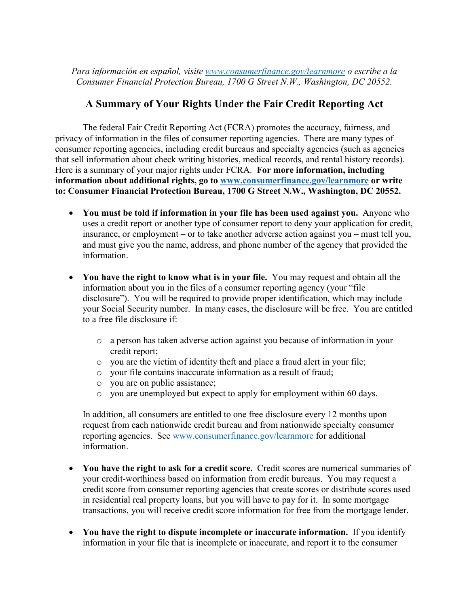*Para información en español, visite [www.consumerfinance.gov/learnmore](http://www.consumerfinance.gov/learnmore) o escribe a la Consumer Financial Protection Bureau, 1700 G Street N.W., Washington, DC 20552.*

## **A Summary of Your Rights Under the Fair Credit Reporting Act**

The federal Fair Credit Reporting Act (FCRA) promotes the accuracy, fairness, and privacy of information in the files of consumer reporting agencies. There are many types of consumer reporting agencies, including credit bureaus and specialty agencies (such as agencies that sell information about check writing histories, medical records, and rental history records). Here is a summary of your major rights under FCRA. **For more information, including information about additional rights, go to [www.consumerfinance.gov/learnmore](http://www.consumerfinance.gov/learnmore) or write to: Consumer Financial Protection Bureau, 1700 G Street N.W., Washington, DC 20552.**

- **You must be told if information in your file has been used against you.** Anyone who uses a credit report or another type of consumer report to deny your application for credit, insurance, or employment – or to take another adverse action against you – must tell you, and must give you the name, address, and phone number of the agency that provided the information.
- **You have the right to know what is in your file.** You may request and obtain all the information about you in the files of a consumer reporting agency (your "file disclosure"). You will be required to provide proper identification, which may include your Social Security number. In many cases, the disclosure will be free. You are entitled to a free file disclosure if:
	- o a person has taken adverse action against you because of information in your credit report;
	- o you are the victim of identity theft and place a fraud alert in your file;
	- o your file contains inaccurate information as a result of fraud;
	- o you are on public assistance;
	- o you are unemployed but expect to apply for employment within 60 days.

In addition, all consumers are entitled to one free disclosure every 12 months upon request from each nationwide credit bureau and from nationwide specialty consumer reporting agencies. See [www.consumerfinance.gov/learnmore](http://www.consumerfinance.gov/learnmore) for additional information.

- **You have the right to ask for a credit score.** Credit scores are numerical summaries of your credit-worthiness based on information from credit bureaus. You may request a credit score from consumer reporting agencies that create scores or distribute scores used in residential real property loans, but you will have to pay for it. In some mortgage transactions, you will receive credit score information for free from the mortgage lender.
- **You have the right to dispute incomplete or inaccurate information.** If you identify information in your file that is incomplete or inaccurate, and report it to the consumer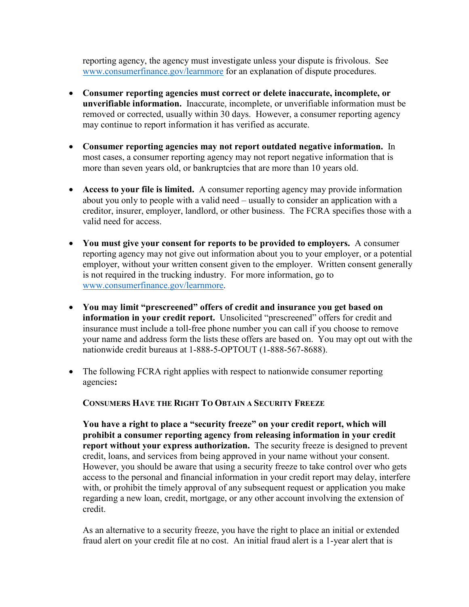reporting agency, the agency must investigate unless your dispute is frivolous. See [www.consumerfinance.gov/learnmore](http://www.consumerfinance.gov/learnmore) for an explanation of dispute procedures.

- **Consumer reporting agencies must correct or delete inaccurate, incomplete, or unverifiable information.** Inaccurate, incomplete, or unverifiable information must be removed or corrected, usually within 30 days. However, a consumer reporting agency may continue to report information it has verified as accurate.
- **Consumer reporting agencies may not report outdated negative information.** In most cases, a consumer reporting agency may not report negative information that is more than seven years old, or bankruptcies that are more than 10 years old.
- **Access to your file is limited.** A consumer reporting agency may provide information about you only to people with a valid need – usually to consider an application with a creditor, insurer, employer, landlord, or other business. The FCRA specifies those with a valid need for access.
- **You must give your consent for reports to be provided to employers.** A consumer reporting agency may not give out information about you to your employer, or a potential employer, without your written consent given to the employer. Written consent generally is not required in the trucking industry. For more information, go to [www.consumerfinance.gov/learnmore.](http://www.consumerfinance.gov/learnmore)
- **You may limit "prescreened" offers of credit and insurance you get based on information in your credit report.** Unsolicited "prescreened" offers for credit and insurance must include a toll-free phone number you can call if you choose to remove your name and address form the lists these offers are based on. You may opt out with the nationwide credit bureaus at 1-888-5-OPTOUT (1-888-567-8688).
- The following FCRA right applies with respect to nationwide consumer reporting agencies**:**

**CONSUMERS HAVE THE RIGHT TO OBTAIN A SECURITY FREEZE**

**You have a right to place a "security freeze" on your credit report, which will prohibit a consumer reporting agency from releasing information in your credit report without your express authorization.** The security freeze is designed to prevent credit, loans, and services from being approved in your name without your consent. However, you should be aware that using a security freeze to take control over who gets access to the personal and financial information in your credit report may delay, interfere with, or prohibit the timely approval of any subsequent request or application you make regarding a new loan, credit, mortgage, or any other account involving the extension of credit.

As an alternative to a security freeze, you have the right to place an initial or extended fraud alert on your credit file at no cost. An initial fraud alert is a 1-year alert that is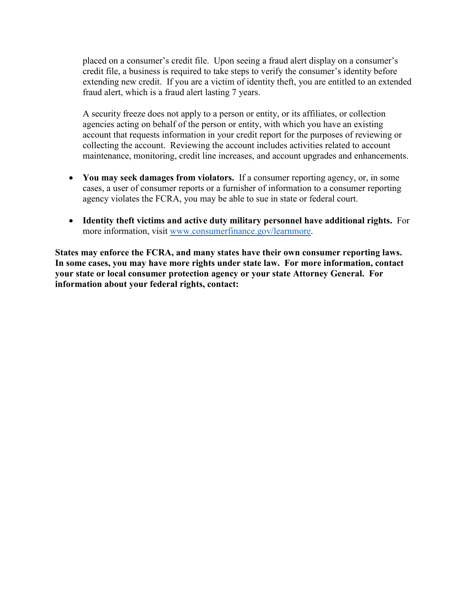placed on a consumer's credit file. Upon seeing a fraud alert display on a consumer's credit file, a business is required to take steps to verify the consumer's identity before extending new credit. If you are a victim of identity theft, you are entitled to an extended fraud alert, which is a fraud alert lasting 7 years.

A security freeze does not apply to a person or entity, or its affiliates, or collection agencies acting on behalf of the person or entity, with which you have an existing account that requests information in your credit report for the purposes of reviewing or collecting the account. Reviewing the account includes activities related to account maintenance, monitoring, credit line increases, and account upgrades and enhancements.

- **You may seek damages from violators.** If a consumer reporting agency, or, in some cases, a user of consumer reports or a furnisher of information to a consumer reporting agency violates the FCRA, you may be able to sue in state or federal court.
- **Identity theft victims and active duty military personnel have additional rights.** For more information, visit [www.consumerfinance.gov/learnmore.](http://www.consumerfinance.gov/learnmore)

**States may enforce the FCRA, and many states have their own consumer reporting laws. In some cases, you may have more rights under state law. For more information, contact your state or local consumer protection agency or your state Attorney General. For information about your federal rights, contact:**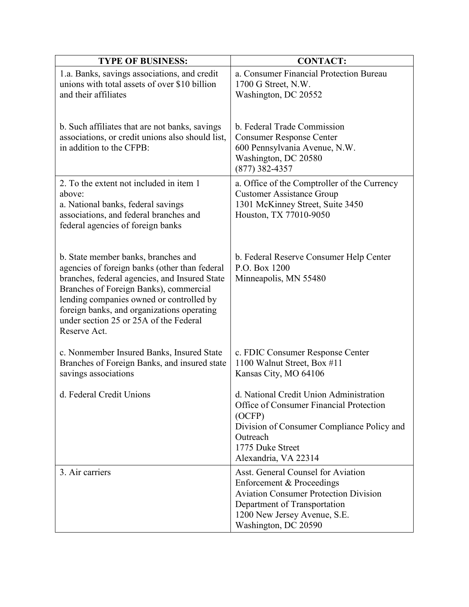| <b>TYPE OF BUSINESS:</b>                                                                                                                                                                                                                                                                                                            | <b>CONTACT:</b>                                                                                                                                                                                         |
|-------------------------------------------------------------------------------------------------------------------------------------------------------------------------------------------------------------------------------------------------------------------------------------------------------------------------------------|---------------------------------------------------------------------------------------------------------------------------------------------------------------------------------------------------------|
| 1.a. Banks, savings associations, and credit<br>unions with total assets of over \$10 billion<br>and their affiliates                                                                                                                                                                                                               | a. Consumer Financial Protection Bureau<br>1700 G Street, N.W.<br>Washington, DC 20552                                                                                                                  |
| b. Such affiliates that are not banks, savings<br>associations, or credit unions also should list,<br>in addition to the CFPB:                                                                                                                                                                                                      | b. Federal Trade Commission<br><b>Consumer Response Center</b><br>600 Pennsylvania Avenue, N.W.<br>Washington, DC 20580<br>$(877)$ 382-4357                                                             |
| 2. To the extent not included in item 1<br>above:<br>a. National banks, federal savings<br>associations, and federal branches and<br>federal agencies of foreign banks                                                                                                                                                              | a. Office of the Comptroller of the Currency<br><b>Customer Assistance Group</b><br>1301 McKinney Street, Suite 3450<br>Houston, TX 77010-9050                                                          |
| b. State member banks, branches and<br>agencies of foreign banks (other than federal<br>branches, federal agencies, and Insured State<br>Branches of Foreign Banks), commercial<br>lending companies owned or controlled by<br>foreign banks, and organizations operating<br>under section 25 or 25A of the Federal<br>Reserve Act. | b. Federal Reserve Consumer Help Center<br>P.O. Box 1200<br>Minneapolis, MN 55480                                                                                                                       |
| c. Nonmember Insured Banks, Insured State<br>Branches of Foreign Banks, and insured state<br>savings associations                                                                                                                                                                                                                   | c. FDIC Consumer Response Center<br>1100 Walnut Street, Box #11<br>Kansas City, MO 64106                                                                                                                |
| d. Federal Credit Unions                                                                                                                                                                                                                                                                                                            | d. National Credit Union Administration<br>Office of Consumer Financial Protection<br>(OCFP)<br>Division of Consumer Compliance Policy and<br>Outreach<br>1775 Duke Street<br>Alexandria, VA 22314      |
| 3. Air carriers                                                                                                                                                                                                                                                                                                                     | Asst. General Counsel for Aviation<br>Enforcement & Proceedings<br><b>Aviation Consumer Protection Division</b><br>Department of Transportation<br>1200 New Jersey Avenue, S.E.<br>Washington, DC 20590 |